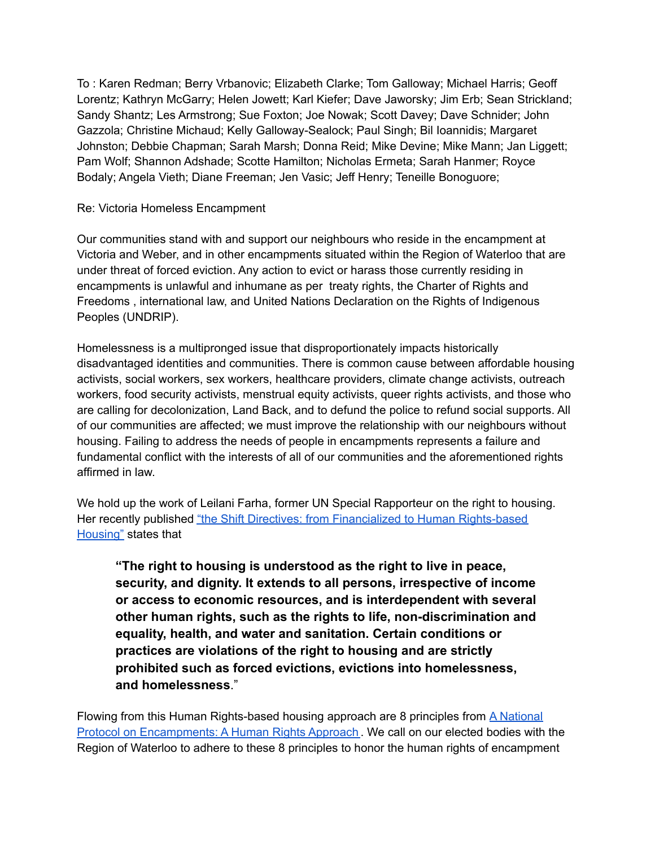To : Karen Redman; Berry Vrbanovic; Elizabeth Clarke; Tom Galloway; Michael Harris; Geoff Lorentz; Kathryn McGarry; Helen Jowett; Karl Kiefer; Dave Jaworsky; Jim Erb; Sean Strickland; Sandy Shantz; Les Armstrong; Sue Foxton; Joe Nowak; Scott Davey; Dave Schnider; John Gazzola; Christine Michaud; Kelly Galloway-Sealock; Paul Singh; Bil Ioannidis; Margaret Johnston; Debbie Chapman; Sarah Marsh; Donna Reid; Mike Devine; Mike Mann; Jan Liggett; Pam Wolf; Shannon Adshade; Scotte Hamilton; Nicholas Ermeta; Sarah Hanmer; Royce Bodaly; Angela Vieth; Diane Freeman; Jen Vasic; Jeff Henry; Teneille Bonoguore;

#### Re: Victoria Homeless Encampment

Our communities stand with and support our neighbours who reside in the encampment at Victoria and Weber, and in other encampments situated within the Region of Waterloo that are under threat of forced eviction. Any action to evict or harass those currently residing in encampments is unlawful and inhumane as per treaty rights, the Charter of Rights and Freedoms , international law, and United Nations Declaration on the Rights of Indigenous Peoples (UNDRIP).

Homelessness is a multipronged issue that disproportionately impacts historically disadvantaged identities and communities. There is common cause between affordable housing activists, social workers, sex workers, healthcare providers, climate change activists, outreach workers, food security activists, menstrual equity activists, queer rights activists, and those who are calling for decolonization, Land Back, and to defund the police to refund social supports. All of our communities are affected; we must improve the relationship with our neighbours without housing. Failing to address the needs of people in encampments represents a failure and fundamental conflict with the interests of all of our communities and the aforementioned rights affirmed in law.

We hold up the work of Leilani Farha, former UN Special Rapporteur on the right to housing. Her recently published "the Shift Directives: from Financialized to Human [Rights-based](https://make-the-shift.org/wp-content/uploads/2022/05/The-Directives-Formatted-DRAFT4.pdf) [Housing"](https://make-the-shift.org/wp-content/uploads/2022/05/The-Directives-Formatted-DRAFT4.pdf) states that

**"The right to housing is understood as the right to live in peace, security, and dignity. It extends to all persons, irrespective of income or access to economic resources, and is interdependent with several other human rights, such as the rights to life, non-discrimination and equality, health, and water and sanitation. Certain conditions or practices are violations of the right to housing and are strictly prohibited such as forced evictions, evictions into homelessness, and homelessness**."

Flowing from this Human Rights-based housing approach are 8 principles from **A [National](https://make-the-shift.org/wp-content/uploads/2020/08/A-National-Protocol-for-Homeless-Encampments-in-Canada.pdf)** Protocol on [Encampments:](https://make-the-shift.org/wp-content/uploads/2020/08/A-National-Protocol-for-Homeless-Encampments-in-Canada.pdf) A Human Rights Approach . We call on our elected bodies with the Region of Waterloo to adhere to these 8 principles to honor the human rights of encampment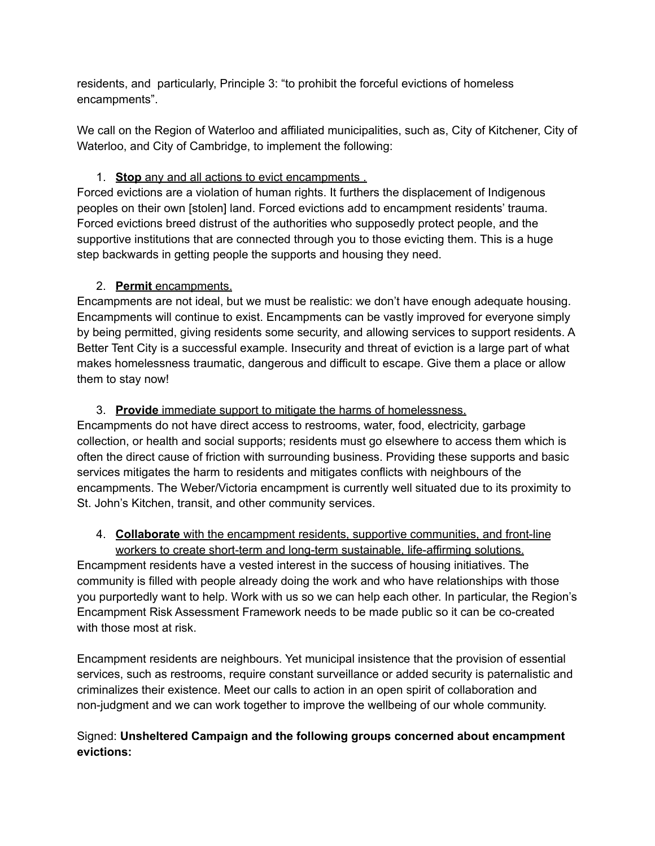residents, and particularly, Principle 3: "to prohibit the forceful evictions of homeless encampments".

We call on the Region of Waterloo and affiliated municipalities, such as, City of Kitchener, City of Waterloo, and City of Cambridge, to implement the following:

### 1. **Stop** any and all actions to evict encampments .

Forced evictions are a violation of human rights. It furthers the displacement of Indigenous peoples on their own [stolen] land. Forced evictions add to encampment residents' trauma. Forced evictions breed distrust of the authorities who supposedly protect people, and the supportive institutions that are connected through you to those evicting them. This is a huge step backwards in getting people the supports and housing they need.

# 2. **Permit** encampments.

Encampments are not ideal, but we must be realistic: we don't have enough adequate housing. Encampments will continue to exist. Encampments can be vastly improved for everyone simply by being permitted, giving residents some security, and allowing services to support residents. A Better Tent City is a successful example. Insecurity and threat of eviction is a large part of what makes homelessness traumatic, dangerous and difficult to escape. Give them a place or allow them to stay now!

# 3. **Provide** immediate support to mitigate the harms of homelessness.

Encampments do not have direct access to restrooms, water, food, electricity, garbage collection, or health and social supports; residents must go elsewhere to access them which is often the direct cause of friction with surrounding business. Providing these supports and basic services mitigates the harm to residents and mitigates conflicts with neighbours of the encampments. The Weber/Victoria encampment is currently well situated due to its proximity to St. John's Kitchen, transit, and other community services.

# 4. **Collaborate** with the encampment residents, supportive communities, and front-line

workers to create short-term and long-term sustainable, life-affirming solutions. Encampment residents have a vested interest in the success of housing initiatives. The community is filled with people already doing the work and who have relationships with those you purportedly want to help. Work with us so we can help each other. In particular, the Region's Encampment Risk Assessment Framework needs to be made public so it can be co-created with those most at risk.

Encampment residents are neighbours. Yet municipal insistence that the provision of essential services, such as restrooms, require constant surveillance or added security is paternalistic and criminalizes their existence. Meet our calls to action in an open spirit of collaboration and non-judgment and we can work together to improve the wellbeing of our whole community.

# Signed: **Unsheltered Campaign and the following groups concerned about encampment evictions:**